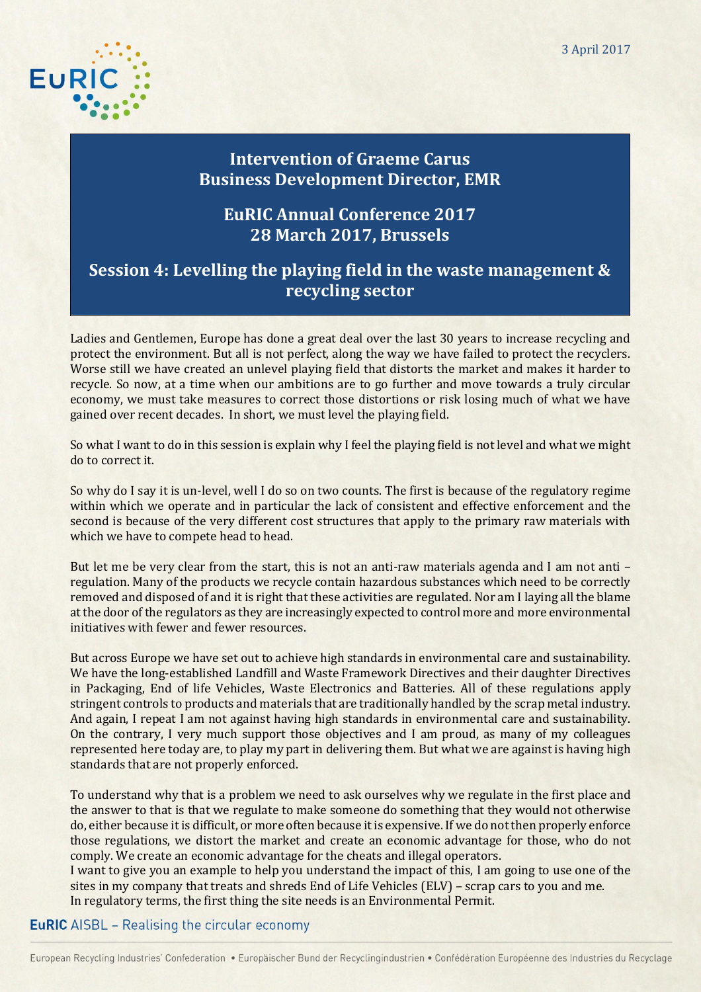3 April 2017



# **Intervention of Graeme Carus Business Development Director, EMR**

## **EuRIC Annual Conference 2017 28 March 2017, Brussels**

# **Session 4: Levelling the playing field in the waste management & recycling sector**

Ladies and Gentlemen, Europe has done a great deal over the last 30 years to increase recycling and protect the environment. But all is not perfect, along the way we have failed to protect the recyclers. Worse still we have created an unlevel playing field that distorts the market and makes it harder to recycle. So now, at a time when our ambitions are to go further and move towards a truly circular economy, we must take measures to correct those distortions or risk losing much of what we have gained over recent decades. In short, we must level the playing field.

So what I want to do in this session is explain why I feel the playing field is not level and what we might do to correct it.

So why do I say it is un-level, well I do so on two counts. The first is because of the regulatory regime within which we operate and in particular the lack of consistent and effective enforcement and the second is because of the very different cost structures that apply to the primary raw materials with which we have to compete head to head.

But let me be very clear from the start, this is not an anti-raw materials agenda and I am not anti – regulation. Many of the products we recycle contain hazardous substances which need to be correctly removed and disposed of and it is right that these activities are regulated. Nor am I laying all the blame at the door of the regulators as they are increasingly expected to control more and more environmental initiatives with fewer and fewer resources.

But across Europe we have set out to achieve high standards in environmental care and sustainability. We have the long-established Landfill and Waste Framework Directives and their daughter Directives in Packaging, End of life Vehicles, Waste Electronics and Batteries. All of these regulations apply stringent controls to products and materials that are traditionally handled by the scrap metal industry. And again, I repeat I am not against having high standards in environmental care and sustainability. On the contrary, I very much support those objectives and I am proud, as many of my colleagues represented here today are, to play my part in delivering them. But what we are against is having high standards that are not properly enforced.

To understand why that is a problem we need to ask ourselves why we regulate in the first place and the answer to that is that we regulate to make someone do something that they would not otherwise do, either because it is difficult, or more often because it is expensive. If we do not then properly enforce those regulations, we distort the market and create an economic advantage for those, who do not comply. We create an economic advantage for the cheats and illegal operators.

I want to give you an example to help you understand the impact of this, I am going to use one of the sites in my company that treats and shreds End of Life Vehicles (ELV) – scrap cars to you and me. In regulatory terms, the first thing the site needs is an Environmental Permit.

## **EuRIC** AISBL - Realising the circular economy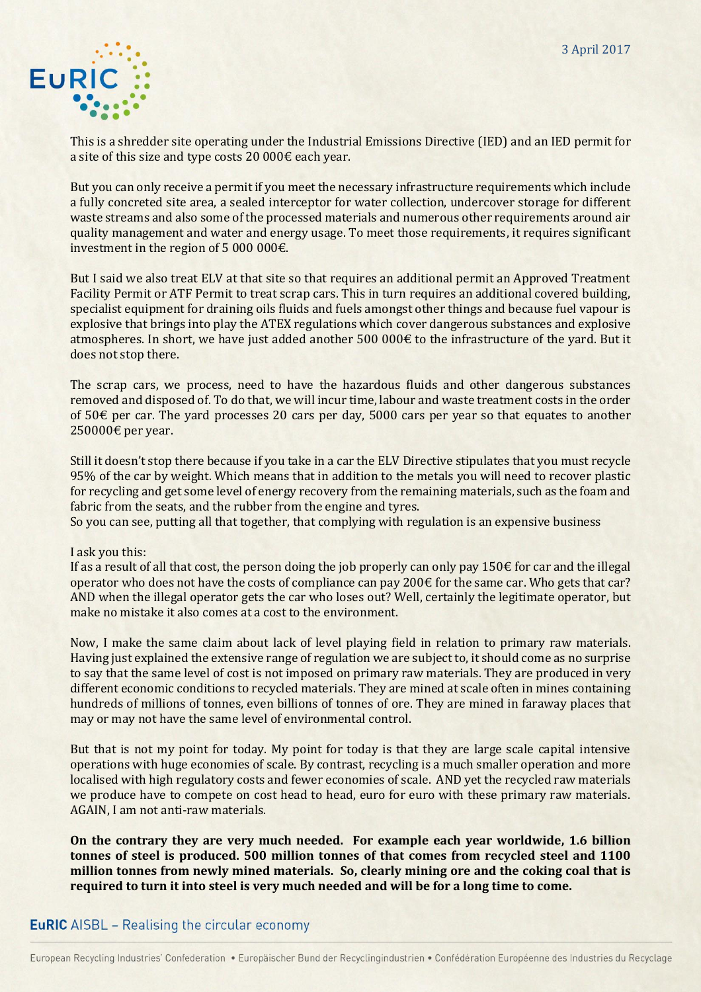

This is a shredder site operating under the Industrial Emissions Directive (IED) and an IED permit for a site of this size and type costs 20 000€ each year.

But you can only receive a permit if you meet the necessary infrastructure requirements which include a fully concreted site area, a sealed interceptor for water collection, undercover storage for different waste streams and also some of the processed materials and numerous other requirements around air quality management and water and energy usage. To meet those requirements, it requires significant investment in the region of 5 000 000€.

But I said we also treat ELV at that site so that requires an additional permit an Approved Treatment Facility Permit or ATF Permit to treat scrap cars. This in turn requires an additional covered building, specialist equipment for draining oils fluids and fuels amongst other things and because fuel vapour is explosive that brings into play the ATEX regulations which cover dangerous substances and explosive atmospheres. In short, we have just added another 500 000€ to the infrastructure of the yard. But it does not stop there.

The scrap cars, we process, need to have the hazardous fluids and other dangerous substances removed and disposed of. To do that, we will incur time, labour and waste treatment costs in the order of 50€ per car. The yard processes 20 cars per day, 5000 cars per year so that equates to another 250000€ per year.

Still it doesn't stop there because if you take in a car the ELV Directive stipulates that you must recycle 95% of the car by weight. Which means that in addition to the metals you will need to recover plastic for recycling and get some level of energy recovery from the remaining materials, such as the foam and fabric from the seats, and the rubber from the engine and tyres.

So you can see, putting all that together, that complying with regulation is an expensive business

#### I ask you this:

If as a result of all that cost, the person doing the job properly can only pay  $150\epsilon$  for car and the illegal operator who does not have the costs of compliance can pay 200€ for the same car. Who gets that car? AND when the illegal operator gets the car who loses out? Well, certainly the legitimate operator, but make no mistake it also comes at a cost to the environment.

Now, I make the same claim about lack of level playing field in relation to primary raw materials. Having just explained the extensive range of regulation we are subject to, it should come as no surprise to say that the same level of cost is not imposed on primary raw materials. They are produced in very different economic conditions to recycled materials. They are mined at scale often in mines containing hundreds of millions of tonnes, even billions of tonnes of ore. They are mined in faraway places that may or may not have the same level of environmental control.

But that is not my point for today. My point for today is that they are large scale capital intensive operations with huge economies of scale. By contrast, recycling is a much smaller operation and more localised with high regulatory costs and fewer economies of scale. AND yet the recycled raw materials we produce have to compete on cost head to head, euro for euro with these primary raw materials. AGAIN, I am not anti-raw materials.

**On the contrary they are very much needed. For example each year worldwide, 1.6 billion tonnes of steel is produced. 500 million tonnes of that comes from recycled steel and 1100 million tonnes from newly mined materials. So, clearly mining ore and the coking coal that is required to turn it into steel is very much needed and will be for a long time to come.**

### **EuRIC** AISBL – Realising the circular economy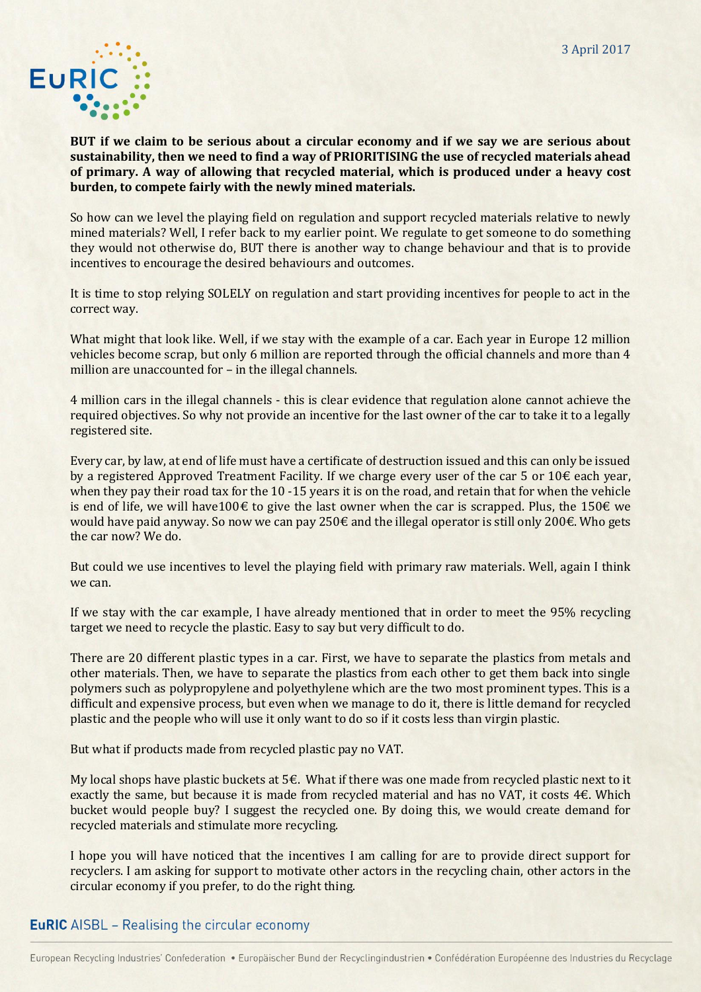

**BUT if we claim to be serious about a circular economy and if we say we are serious about sustainability, then we need to find a way of PRIORITISING the use of recycled materials ahead of primary. A way of allowing that recycled material, which is produced under a heavy cost burden, to compete fairly with the newly mined materials.**

So how can we level the playing field on regulation and support recycled materials relative to newly mined materials? Well, I refer back to my earlier point. We regulate to get someone to do something they would not otherwise do, BUT there is another way to change behaviour and that is to provide incentives to encourage the desired behaviours and outcomes.

It is time to stop relying SOLELY on regulation and start providing incentives for people to act in the correct way.

What might that look like. Well, if we stay with the example of a car. Each year in Europe 12 million vehicles become scrap, but only 6 million are reported through the official channels and more than 4 million are unaccounted for – in the illegal channels.

4 million cars in the illegal channels - this is clear evidence that regulation alone cannot achieve the required objectives. So why not provide an incentive for the last owner of the car to take it to a legally registered site.

Every car, by law, at end of life must have a certificate of destruction issued and this can only be issued by a registered Approved Treatment Facility. If we charge every user of the car 5 or  $10 \epsilon$  each year, when they pay their road tax for the 10 -15 years it is on the road, and retain that for when the vehicle is end of life, we will have 100€ to give the last owner when the car is scrapped. Plus, the 150€ we would have paid anyway. So now we can pay 250€ and the illegal operator is still only 200€. Who gets the car now? We do.

But could we use incentives to level the playing field with primary raw materials. Well, again I think we can.

If we stay with the car example, I have already mentioned that in order to meet the 95% recycling target we need to recycle the plastic. Easy to say but very difficult to do.

There are 20 different plastic types in a car. First, we have to separate the plastics from metals and other materials. Then, we have to separate the plastics from each other to get them back into single polymers such as polypropylene and polyethylene which are the two most prominent types. This is a difficult and expensive process, but even when we manage to do it, there is little demand for recycled plastic and the people who will use it only want to do so if it costs less than virgin plastic.

But what if products made from recycled plastic pay no VAT.

My local shops have plastic buckets at 5€. What if there was one made from recycled plastic next to it exactly the same, but because it is made from recycled material and has no VAT, it costs  $4\epsilon$ . Which bucket would people buy? I suggest the recycled one. By doing this, we would create demand for recycled materials and stimulate more recycling.

I hope you will have noticed that the incentives I am calling for are to provide direct support for recyclers. I am asking for support to motivate other actors in the recycling chain, other actors in the circular economy if you prefer, to do the right thing.

### **EuRIC** AISBL - Realising the circular economy